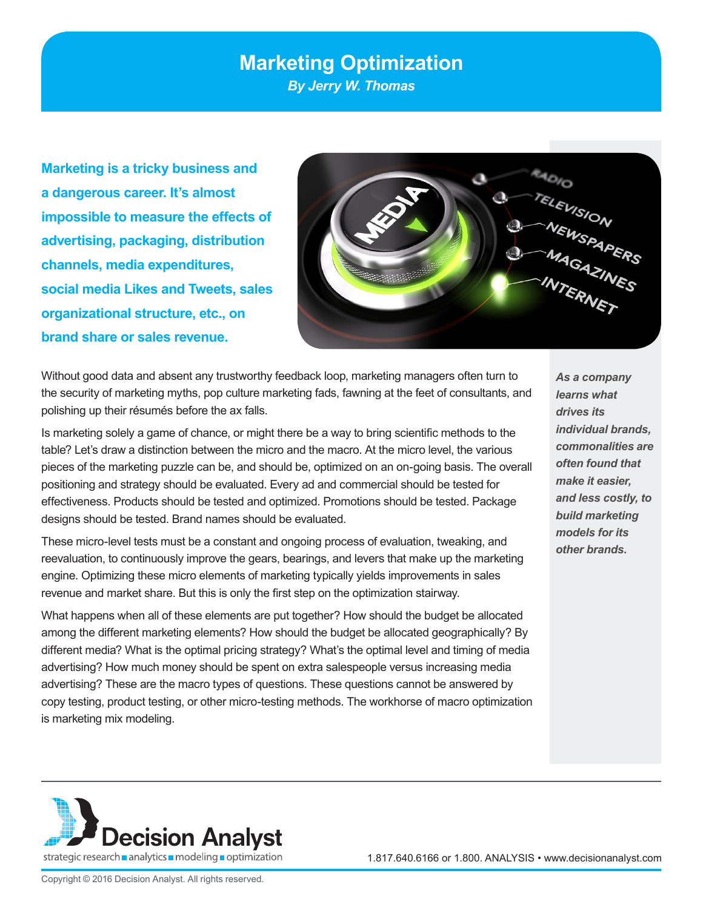# **Marketing Optimization**

*By Jerry W. Thomas*

**Marketing is a tricky business and a dangerous career. It's almost impossible to measure the effects of advertising, packaging, distribution channels, media expenditures, social media Likes and Tweets, sales organizational structure, etc., on brand share or sales revenue.** 



Without good data and absent any trustworthy feedback loop, marketing managers often turn to the security of marketing myths, pop culture marketing fads, fawning at the feet of consultants, and polishing up their résumés before the ax falls.

Is marketing solely a game of chance, or might there be a way to bring scientific methods to the table? Let's draw a distinction between the micro and the macro. At the micro level, the various pieces of the marketing puzzle can be, and should be, optimized on an on-going basis. The overall positioning and strategy should be evaluated. Every ad and commercial should be tested for effectiveness. Products should be tested and optimized. Promotions should be tested. Package designs should be tested. Brand names should be evaluated.

These micro-level tests must be a constant and ongoing process of evaluation, tweaking, and reevaluation, to continuously improve the gears, bearings, and levers that make up the marketing engine. Optimizing these micro elements of marketing typically yields improvements in sales revenue and market share. But this is only the first step on the optimization stairway.

What happens when all of these elements are put together? How should the budget be allocated among the different marketing elements? How should the budget be allocated geographically? By different media? What is the optimal pricing strategy? What's the optimal level and timing of media advertising? How much money should be spent on extra salespeople versus increasing media advertising? These are the macro types of questions. These questions cannot be answered by copy testing, product testing, or other micro-testing methods. The workhorse of macro optimization is marketing mix modeling.

*As a company learns what drives its individual brands, commonalities are often found that make it easier, and less costly, to build marketing models for its other brands.* 

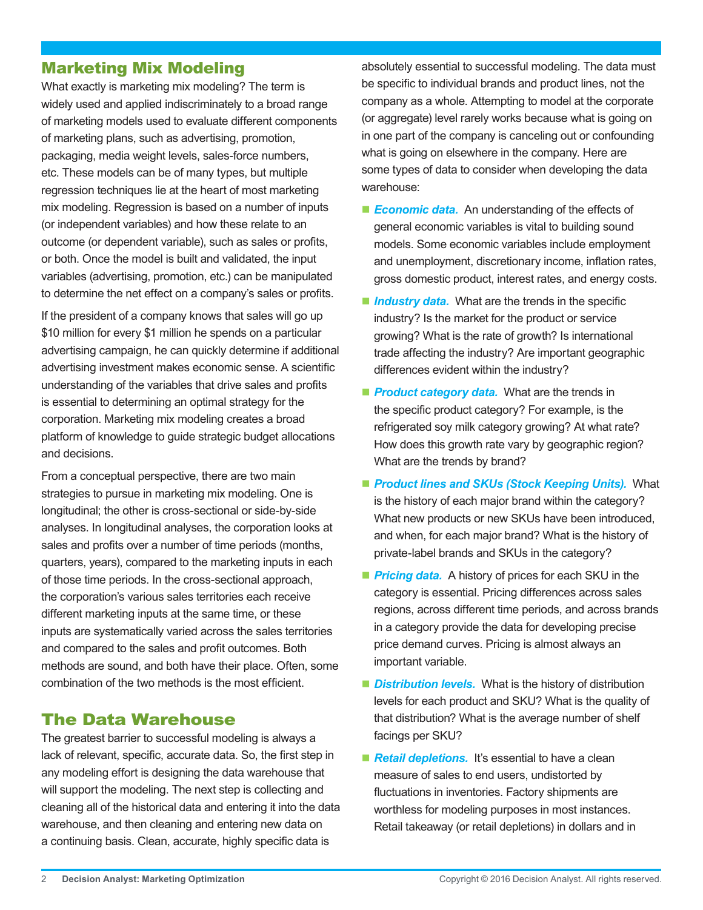### Marketing Mix Modeling

What exactly is marketing mix modeling? The term is widely used and applied indiscriminately to a broad range of marketing models used to evaluate different components of marketing plans, such as advertising, promotion, packaging, media weight levels, sales-force numbers, etc. These models can be of many types, but multiple regression techniques lie at the heart of most marketing mix modeling. Regression is based on a number of inputs (or independent variables) and how these relate to an outcome (or dependent variable), such as sales or profits, or both. Once the model is built and validated, the input variables (advertising, promotion, etc.) can be manipulated to determine the net effect on a company's sales or profits.

If the president of a company knows that sales will go up \$10 million for every \$1 million he spends on a particular advertising campaign, he can quickly determine if additional advertising investment makes economic sense. A scientific understanding of the variables that drive sales and profits is essential to determining an optimal strategy for the corporation. Marketing mix modeling creates a broad platform of knowledge to guide strategic budget allocations and decisions.

From a conceptual perspective, there are two main strategies to pursue in marketing mix modeling. One is longitudinal; the other is cross-sectional or side-by-side analyses. In longitudinal analyses, the corporation looks at sales and profits over a number of time periods (months, quarters, years), compared to the marketing inputs in each of those time periods. In the cross-sectional approach, the corporation's various sales territories each receive different marketing inputs at the same time, or these inputs are systematically varied across the sales territories and compared to the sales and profit outcomes. Both methods are sound, and both have their place. Often, some combination of the two methods is the most efficient.

### The Data Warehouse

The greatest barrier to successful modeling is always a lack of relevant, specific, accurate data. So, the first step in any modeling effort is designing the data warehouse that will support the modeling. The next step is collecting and cleaning all of the historical data and entering it into the data warehouse, and then cleaning and entering new data on a continuing basis. Clean, accurate, highly specific data is

absolutely essential to successful modeling. The data must be specific to individual brands and product lines, not the company as a whole. Attempting to model at the corporate (or aggregate) level rarely works because what is going on in one part of the company is canceling out or confounding what is going on elsewhere in the company. Here are some types of data to consider when developing the data warehouse:

- **Economic data.** An understanding of the effects of general economic variables is vital to building sound models. Some economic variables include employment and unemployment, discretionary income, inflation rates, gross domestic product, interest rates, and energy costs.
- **I** *Industry data.* What are the trends in the specific industry? Is the market for the product or service growing? What is the rate of growth? Is international trade affecting the industry? Are important geographic differences evident within the industry?
- **Product category data.** What are the trends in the specific product category? For example, is the refrigerated soy milk category growing? At what rate? How does this growth rate vary by geographic region? What are the trends by brand?
- *Product lines and SKUs (Stock Keeping Units).* What is the history of each major brand within the category? What new products or new SKUs have been introduced, and when, for each major brand? What is the history of private-label brands and SKUs in the category?
- **Pricing data.** A history of prices for each SKU in the category is essential. Pricing differences across sales regions, across different time periods, and across brands in a category provide the data for developing precise price demand curves. Pricing is almost always an important variable.
- **Distribution levels.** What is the history of distribution levels for each product and SKU? What is the quality of that distribution? What is the average number of shelf facings per SKU?
- **Retail depletions.** It's essential to have a clean measure of sales to end users, undistorted by fluctuations in inventories. Factory shipments are worthless for modeling purposes in most instances. Retail takeaway (or retail depletions) in dollars and in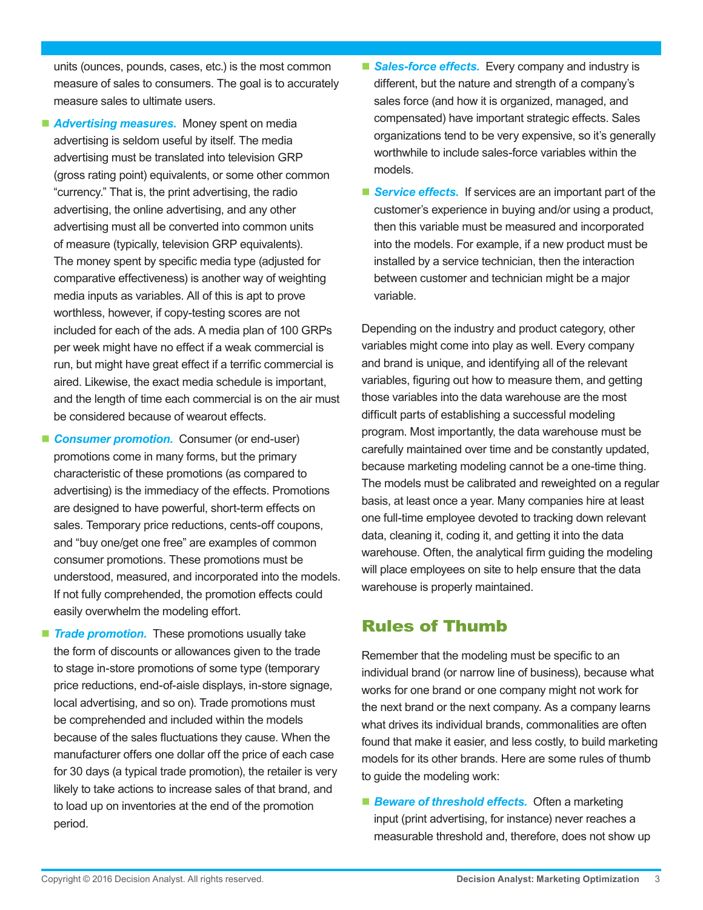units (ounces, pounds, cases, etc.) is the most common measure of sales to consumers. The goal is to accurately measure sales to ultimate users.

- **Advertising measures.** Money spent on media advertising is seldom useful by itself. The media advertising must be translated into television GRP (gross rating point) equivalents, or some other common "currency." That is, the print advertising, the radio advertising, the online advertising, and any other advertising must all be converted into common units of measure (typically, television GRP equivalents). The money spent by specific media type (adjusted for comparative effectiveness) is another way of weighting media inputs as variables. All of this is apt to prove worthless, however, if copy-testing scores are not included for each of the ads. A media plan of 100 GRPs per week might have no effect if a weak commercial is run, but might have great effect if a terrific commercial is aired. Likewise, the exact media schedule is important, and the length of time each commercial is on the air must be considered because of wearout effects.
- **Consumer promotion.** Consumer (or end-user) promotions come in many forms, but the primary characteristic of these promotions (as compared to advertising) is the immediacy of the effects. Promotions are designed to have powerful, short-term effects on sales. Temporary price reductions, cents-off coupons, and "buy one/get one free" are examples of common consumer promotions. These promotions must be understood, measured, and incorporated into the models. If not fully comprehended, the promotion effects could easily overwhelm the modeling effort.
- **Trade promotion.** These promotions usually take the form of discounts or allowances given to the trade to stage in-store promotions of some type (temporary price reductions, end-of-aisle displays, in-store signage, local advertising, and so on). Trade promotions must be comprehended and included within the models because of the sales fluctuations they cause. When the manufacturer offers one dollar off the price of each case for 30 days (a typical trade promotion), the retailer is very likely to take actions to increase sales of that brand, and to load up on inventories at the end of the promotion period.
- **Sales-force effects.** Every company and industry is different, but the nature and strength of a company's sales force (and how it is organized, managed, and compensated) have important strategic effects. Sales organizations tend to be very expensive, so it's generally worthwhile to include sales-force variables within the models.
- **Service effects.** If services are an important part of the customer's experience in buying and/or using a product, then this variable must be measured and incorporated into the models. For example, if a new product must be installed by a service technician, then the interaction between customer and technician might be a major variable.

Depending on the industry and product category, other variables might come into play as well. Every company and brand is unique, and identifying all of the relevant variables, figuring out how to measure them, and getting those variables into the data warehouse are the most difficult parts of establishing a successful modeling program. Most importantly, the data warehouse must be carefully maintained over time and be constantly updated, because marketing modeling cannot be a one-time thing. The models must be calibrated and reweighted on a regular basis, at least once a year. Many companies hire at least one full-time employee devoted to tracking down relevant data, cleaning it, coding it, and getting it into the data warehouse. Often, the analytical firm guiding the modeling will place employees on site to help ensure that the data warehouse is properly maintained.

## Rules of Thumb

Remember that the modeling must be specific to an individual brand (or narrow line of business), because what works for one brand or one company might not work for the next brand or the next company. As a company learns what drives its individual brands, commonalities are often found that make it easier, and less costly, to build marketing models for its other brands. Here are some rules of thumb to guide the modeling work:

■ **Beware of threshold effects.** Often a marketing input (print advertising, for instance) never reaches a measurable threshold and, therefore, does not show up